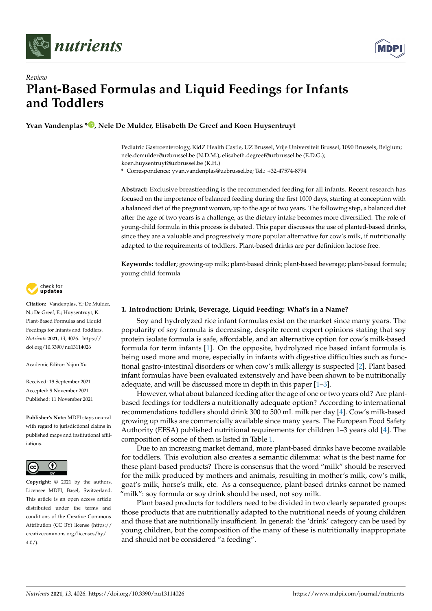



# *Review* **Plant-Based Formulas and Liquid Feedings for Infants and Toddlers**

**Yvan Vandenplas [\\*](https://orcid.org/0000-0002-1862-8651) , Nele De Mulder, Elisabeth De Greef and Koen Huysentruyt**

Pediatric Gastroenterology, KidZ Health Castle, UZ Brussel, Vrije Universiteit Brussel, 1090 Brussels, Belgium; nele.demulder@uzbrussel.be (N.D.M.); elisabeth.degreef@uzbrussel.be (E.D.G.); koen.huysentruyt@uzbrussel.be (K.H.)

**\*** Correspondence: yvan.vandenplas@uzbrussel.be; Tel.: +32-47574-8794

**Abstract:** Exclusive breastfeeding is the recommended feeding for all infants. Recent research has focused on the importance of balanced feeding during the first 1000 days, starting at conception with a balanced diet of the pregnant woman, up to the age of two years. The following step, a balanced diet after the age of two years is a challenge, as the dietary intake becomes more diversified. The role of young-child formula in this process is debated. This paper discusses the use of planted-based drinks, since they are a valuable and progressively more popular alternative for cow's milk, if nutritionally adapted to the requirements of toddlers. Plant-based drinks are per definition lactose free.

**Keywords:** toddler; growing-up milk; plant-based drink; plant-based beverage; plant-based formula; young child formula



**Citation:** Vandenplas, Y.; De Mulder, N.; De Greef, E.; Huysentruyt, K. Plant-Based Formulas and Liquid Feedings for Infants and Toddlers. *Nutrients* **2021**, *13*, 4026. [https://](https://doi.org/10.3390/nu13114026) [doi.org/10.3390/nu13114026](https://doi.org/10.3390/nu13114026)

Academic Editor: Yajun Xu

Received: 19 September 2021 Accepted: 9 November 2021 Published: 11 November 2021

**Publisher's Note:** MDPI stays neutral with regard to jurisdictional claims in published maps and institutional affiliations.



**Copyright:** © 2021 by the authors. Licensee MDPI, Basel, Switzerland. This article is an open access article distributed under the terms and conditions of the Creative Commons Attribution (CC BY) license (https:/[/](https://creativecommons.org/licenses/by/4.0/) [creativecommons.org/licenses/by/](https://creativecommons.org/licenses/by/4.0/)  $4.0/$ ).

# **1. Introduction: Drink, Beverage, Liquid Feeding: What's in a Name?**

Soy and hydrolyzed rice infant formulas exist on the market since many years. The popularity of soy formula is decreasing, despite recent expert opinions stating that soy protein isolate formula is safe, affordable, and an alternative option for cow's milk-based formula for term infants [\[1\]](#page-7-0). On the opposite, hydrolyzed rice based infant formula is being used more and more, especially in infants with digestive difficulties such as functional gastro-intestinal disorders or when cow's milk allergy is suspected [\[2\]](#page-7-1). Plant based infant formulas have been evaluated extensively and have been shown to be nutritionally adequate, and will be discussed more in depth in this paper [\[1–](#page-7-0)[3\]](#page-7-2).

However, what about balanced feeding after the age of one or two years old? Are plantbased feedings for toddlers a nutritionally adequate option? According to international recommendations toddlers should drink 300 to 500 mL milk per day [\[4\]](#page-7-3). Cow's milk-based growing up milks are commercially available since many years. The European Food Safety Authority (EFSA) published nutritional requirements for children 1–3 years old [\[4\]](#page-7-3). The composition of some of them is listed in Table [1.](#page-1-0)

Due to an increasing market demand, more plant-based drinks have become available for toddlers. This evolution also creates a semantic dilemma: what is the best name for these plant-based products? There is consensus that the word "milk" should be reserved for the milk produced by mothers and animals, resulting in mother's milk, cow's milk, goat's milk, horse's milk, etc. As a consequence, plant-based drinks cannot be named "milk": soy formula or soy drink should be used, not soy milk.

Plant based products for toddlers need to be divided in two clearly separated groups: those products that are nutritionally adapted to the nutritional needs of young children and those that are nutritionally insufficient. In general: the 'drink' category can be used by young children, but the composition of the many of these is nutritionally inappropriate and should not be considered "a feeding".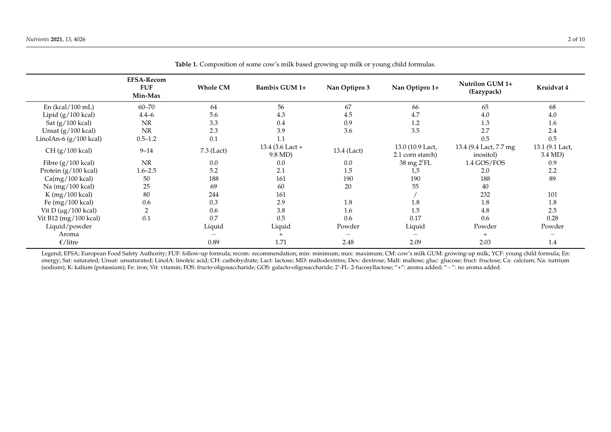$\overline{\phantom{a}}$ 

 $\overline{a}$ 

|                                  | <b>EFSA-Recom</b><br><b>FUF</b><br>Min-Max | <b>Whole CM</b> | Bambix GUM 1+               | Nan Optipro 3 | Nan Optipro 1+                       | Nutrilon GUM 1+<br>(Eazypack)        | Kruidvat 4                 |
|----------------------------------|--------------------------------------------|-----------------|-----------------------------|---------------|--------------------------------------|--------------------------------------|----------------------------|
| En (kcal/100 mL)                 | $60 - 70$                                  | 64              | 56                          | 67            | 66                                   | 65                                   | 68                         |
| Lipid (g/100 kcal)               | $4.4 - 6$                                  | 5.6             | 4.3                         | 4.5           | 4.7                                  | 4.0                                  | 4.0                        |
| Sat (g/100 kcal)                 | NR                                         | 3.3             | 0.4                         | 0.9           | 1.2                                  | 1.3                                  | 1.6                        |
| Unsat (g/100 kcal)               | NR                                         | 2.3             | 3.9                         | 3.6           | 3.5                                  | 2.7                                  | 2.4                        |
| LinolAn-6 (g/100 kcal)           | $0.5 - 1.2$                                | 0.1             | 1.1                         |               |                                      | 0.5                                  | 0.5                        |
| CH (g/100 kcal)                  | $9 - 14$                                   | $7.3$ (Lact)    | 13.4 (3.6 Lact +<br>9.8 MD) | 13.4 (Lact)   | 13.0 (10.9 Lact,<br>2.1 corn starch) | 13.4 (9.4 Lact, 7.7 mg)<br>inositol) | 13.1 (9.1 Lact,<br>3.4 MD) |
| Fibre (g/100 kcal)               | <b>NR</b>                                  | 0.0             | 0.0                         | 0.0           | 38 mg 2'FL                           | 1.4 GOS/FOS                          | 0.9                        |
| Protein (g/100 kcal)             | $1.6 - 2.5$                                | 5.2             | 2.1                         | 1.5           | 1,5                                  | 2.0                                  | 2.2                        |
| $Ca(mg/100 \text{ kcal})$        | 50                                         | 188             | 161                         | 190           | 190                                  | 188                                  | 89                         |
| Na (mg/100 kcal)                 | 25                                         | 69              | 60                          | 20            | 55                                   | 40                                   |                            |
| K (mg/100 kcal)                  | 80                                         | 244             | 161                         |               |                                      | 232                                  | 101                        |
| Fe (mg/100 kcal)                 | 0.6                                        | 0.3             | 2.9                         | 1.8           | 1.8                                  | 1.8                                  | 1.8                        |
| Vit D $(\mu g/100 \text{ kcal})$ | $\overline{2}$                             | 0.6             | 3.8                         | 1.6           | 1.5                                  | 4.8                                  | 2.5                        |
| Vit B12 (mg/100 kcal)            | 0.1                                        | 0.7             | 0.5                         | 0.6           | 0.17                                 | 0.6                                  | 0.28                       |
| Liquid/powder                    |                                            | Liquid          | Liquid                      | Powder        | Liquid                               | Powder                               | Powder                     |
| Aroma                            |                                            |                 |                             | —             | $\overline{\phantom{0}}$             | $+$                                  |                            |
| $\epsilon$ /litre                |                                            | 0.89            | 1.71                        | 2.48          | 2.09                                 | 2.03                                 | 1.4                        |
|                                  |                                            |                 |                             |               |                                      |                                      |                            |

**Table 1.** Composition of some cow's milk based growing up milk or young child formulas.

<span id="page-1-0"></span>Legend; EFSA; European Food Safety Authority; FUF: follow-up formula; recom: recommendation; min: minimum; max: maximum; CM: cow's milk GUM: growing-up milk; YCF: young child formula; En: energy; Sat: saturated; Unsat: unsaturated; LinolA: linoleic acid; CH: carbohydrate; Lact: lactose; MD: maltodextrins; Dex: dextrose; Malt: maltose; gluc: glucose; fruct: fructose; Ca: calcium; Na: natrium (sodium); K: kalium (potassium); Fe: iron; Vit: vitamin; FOS: fructo-oligosaccharide; GOS: galacto-oligosaccharide; 2'-FL: 2-fucosyllactose; "+": aroma added; "−": no aroma added.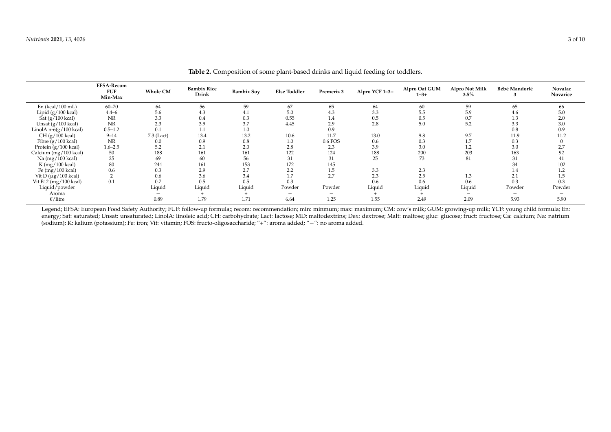|                                  | <b>EFSA-Recom</b><br><b>FUF</b><br>Min-Max | <b>Whole CM</b> | <b>Bambix Rice</b><br>Drink | <b>Bambix Soy</b> | <b>Else Toddler</b>             | Premeriz 3               | Alpro YCF 1-3+ | Alpro Oat GUM<br>$1 - 3 +$ | Alpro Not Milk<br>3.5% | Bébé Mandorlé | Novalac<br>Novarice |
|----------------------------------|--------------------------------------------|-----------------|-----------------------------|-------------------|---------------------------------|--------------------------|----------------|----------------------------|------------------------|---------------|---------------------|
| En (kcal/100 mL)                 | $60 - 70$                                  | 64              | 56                          | 59                | 67                              | 65                       | 64             | 60                         | 59                     | 65            | 66                  |
| Lipid $(g/100 \text{ kcal})$     | $4.4 - 6$                                  | 5.6             | 4.3                         | 4.1               | 5.0                             | 4.3                      | 3.3            | 5.5                        | 5.9                    | 4.6           | 5.0                 |
| Sat (g/100 kcal)                 | <b>NR</b>                                  | 3.3             | 0.4                         | 0.3               | 0.55                            | 1.4                      | 0.5            | 0.5                        | 0.7                    | 1.3           | 2.0                 |
| Unsat (g/100 kcal)               | NR                                         | 2.3             | 3.9                         | 3.7               | 4.45                            | 2.9                      | 2.8            | 5.0                        | 5.2                    | 3.3           | 3.0                 |
| LinolA $n-6(g/100$ kcal)         | $0.5 - 1.2$                                | 0.1             | 1.1                         | $1.0\,$           |                                 | 0.9                      |                |                            |                        | 0.8           | 0.9                 |
| $CH (g/100$ kcal)                | $9 - 14$                                   | 7.3 (Lact)      | 13.4                        | 13.2              | 10.6                            | 11.7                     | 13.0           | 9.8                        | 9.7                    | 11.9          | 11.2                |
| Fibre (g/100 kcal)               | <b>NR</b>                                  | 0.0             | 0.9                         | 0.8               | 1.0                             | 0.6 FOS                  | 0.6            | 0.3                        | 1.7                    | 0.3           |                     |
| Protein (g/100 kcal)             | $1.6 - 2.5$                                | 5.2             | 2.1                         | 2.0               | 2.8                             | 2.3                      | 3.9            | 3.0                        | 1.2                    | 3.0           | 2.7                 |
| Calcium (mg/100 kcal)            | 50                                         | 188             | 161                         | 161               | 122                             | 124                      | 188            | 200                        | 203                    | 163           | 92                  |
| Na (mg/100 kcal)                 | 25                                         | 69              | 60                          | 56                | 31                              | 31                       | 25             | 73                         | 81                     | 31            | 41                  |
| K (mg/100 kcal)                  | 80                                         | 244             | 161                         | 153               | 172                             | 145                      |                |                            |                        | 34            | 102                 |
| Fe $(mg/100 \text{ kcal})$       | 0.6                                        | 0.3             | 2.9                         | 2.7               | 2.2                             | 1.5                      | 3.3            | 2.3                        |                        | 1.4           | 1.2                 |
| Vit D $(\mu g/100 \text{ kcal})$ |                                            | 0.6             | 3.6                         | 3.4               | 1.7                             | 2.7                      | 2.3            | 2.5                        | 1.3                    | 2.1           | 1.5                 |
| Vit B12 (mg/100 kcal)            | 0.1                                        | 0.7             | 0.5                         | 0.5               | 0.3                             |                          | 0.6            | 0.6                        | 0.6                    | 0.3           | 0.3                 |
| Liquid/powder                    |                                            | Liquid          | Liquid                      | Liquid            | Powder                          | Powder                   | Liquid         | Liquid                     | Liquid                 | Powder        | Powder              |
| Aroma                            |                                            |                 |                             |                   | $\hspace{0.1mm}-\hspace{0.1mm}$ | $\overline{\phantom{a}}$ |                |                            |                        |               |                     |
| €/litre                          |                                            | 0.89            | 1.79                        | 1.71              | 6.64                            | 1.25                     | 1.55           | 2.49                       | 2.09                   | 5.93          | 5.90                |

**Table 2.** Composition of some plant-based drinks and liquid feeding for toddlers.

<span id="page-2-0"></span>Legend; EFSA: European Food Safety Authority; FUF: follow-up formula;; recom: recommendation; min: minmum; max: maximum; CM: cow's milk; GUM: growing-up milk; YCF: young child formula; En: energy; Sat: saturated; Unsat: unsaturated; LinolA: linoleic acid; CH: carbohydrate; Lact: lactose; MD: maltodextrins; Dex: dextrose; Malt: maltose; gluc: glucose; fruct: fructose; Ca: calcium; Na: natrium; Na: natrium; Na (sodium); K: kalium (potassium); Fe: iron; Vit: vitamin; FOS: fructo-oligosaccharide; "+": aroma added; "−": no aroma added.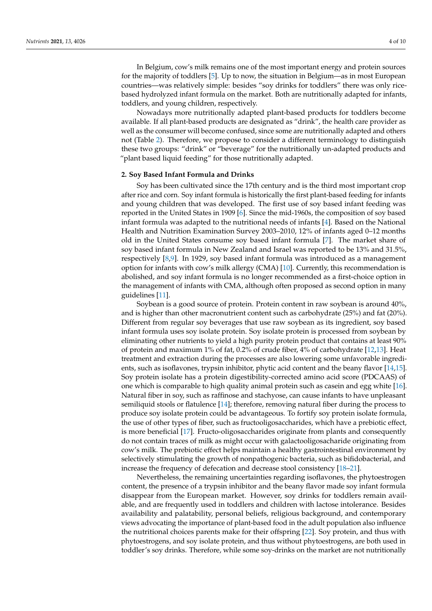In Belgium, cow's milk remains one of the most important energy and protein sources for the majority of toddlers [\[5\]](#page-7-4). Up to now, the situation in Belgium—as in most European countries—was relatively simple: besides "soy drinks for toddlers" there was only ricebased hydrolyzed infant formula on the market. Both are nutritionally adapted for infants, toddlers, and young children, respectively.

Nowadays more nutritionally adapted plant-based products for toddlers become available. If all plant-based products are designated as "drink", the health care provider as well as the consumer will become confused, since some are nutritionally adapted and others not (Table [2\)](#page-2-0). Therefore, we propose to consider a different terminology to distinguish these two groups: "drink" or "beverage" for the nutritionally un-adapted products and "plant based liquid feeding" for those nutritionally adapted.

#### **2. Soy Based Infant Formula and Drinks**

Soy has been cultivated since the 17th century and is the third most important crop after rice and corn. Soy infant formula is historically the first plant-based feeding for infants and young children that was developed. The first use of soy based infant feeding was reported in the United States in 1909 [\[6\]](#page-7-5). Since the mid-1960s, the composition of soy based infant formula was adapted to the nutritional needs of infants [\[4\]](#page-7-3). Based on the National Health and Nutrition Examination Survey 2003–2010, 12% of infants aged 0–12 months old in the United States consume soy based infant formula [\[7\]](#page-7-6). The market share of soy based infant formula in New Zealand and Israel was reported to be 13% and 31.5%, respectively [\[8,](#page-7-7)[9\]](#page-7-8). In 1929, soy based infant formula was introduced as a management option for infants with cow's milk allergy (CMA) [\[10\]](#page-7-9). Currently, this recommendation is abolished, and soy infant formula is no longer recommended as a first-choice option in the management of infants with CMA, although often proposed as second option in many guidelines [\[11\]](#page-7-10).

Soybean is a good source of protein. Protein content in raw soybean is around 40%, and is higher than other macronutrient content such as carbohydrate (25%) and fat (20%). Different from regular soy beverages that use raw soybean as its ingredient, soy based infant formula uses soy isolate protein. Soy isolate protein is processed from soybean by eliminating other nutrients to yield a high purity protein product that contains at least 90% of protein and maximum 1% of fat, 0.2% of crude fiber, 4% of carbohydrate [\[12,](#page-7-11)[13\]](#page-7-12). Heat treatment and extraction during the processes are also lowering some unfavorable ingredients, such as isoflavones, trypsin inhibitor, phytic acid content and the beany flavor [\[14](#page-7-13)[,15\]](#page-7-14). Soy protein isolate has a protein digestibility-corrected amino acid score (PDCAAS) of one which is comparable to high quality animal protein such as casein and egg white [\[16\]](#page-7-15). Natural fiber in soy, such as raffinose and stachyose, can cause infants to have unpleasant semiliquid stools or flatulence [\[14\]](#page-7-13); therefore, removing natural fiber during the process to produce soy isolate protein could be advantageous. To fortify soy protein isolate formula, the use of other types of fiber, such as fructooligosaccharides, which have a prebiotic effect, is more beneficial [\[17\]](#page-7-16). Fructo-oligosaccharides originate from plants and consequently do not contain traces of milk as might occur with galactooligosacharide originating from cow's milk. The prebiotic effect helps maintain a healthy gastrointestinal environment by selectively stimulating the growth of nonpathogenic bacteria, such as bifidobacterial, and increase the frequency of defecation and decrease stool consistency [\[18–](#page-7-17)[21\]](#page-7-18).

Nevertheless, the remaining uncertainties regarding isoflavones, the phytoestrogen content, the presence of a trypsin inhibitor and the beany flavor made soy infant formula disappear from the European market. However, soy drinks for toddlers remain available, and are frequently used in toddlers and children with lactose intolerance. Besides availability and palatability, personal beliefs, religious background, and contemporary views advocating the importance of plant-based food in the adult population also influence the nutritional choices parents make for their offspring [\[22\]](#page-7-19). Soy protein, and thus with phytoestrogens, and soy isolate protein, and thus without phytoestrogens, are both used in toddler's soy drinks. Therefore, while some soy-drinks on the market are not nutritionally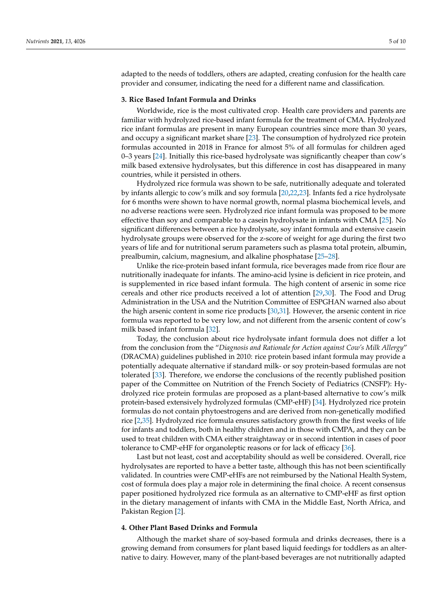adapted to the needs of toddlers, others are adapted, creating confusion for the health care provider and consumer, indicating the need for a different name and classification.

#### **3. Rice Based Infant Formula and Drinks**

Worldwide, rice is the most cultivated crop. Health care providers and parents are familiar with hydrolyzed rice-based infant formula for the treatment of CMA. Hydrolyzed rice infant formulas are present in many European countries since more than 30 years, and occupy a significant market share [\[23\]](#page-7-20). The consumption of hydrolyzed rice protein formulas accounted in 2018 in France for almost 5% of all formulas for children aged 0–3 years [\[24\]](#page-7-21). Initially this rice-based hydrolysate was significantly cheaper than cow's milk based extensive hydrolysates, but this difference in cost has disappeared in many countries, while it persisted in others.

Hydrolyzed rice formula was shown to be safe, nutritionally adequate and tolerated by infants allergic to cow's milk and soy formula [\[20,](#page-7-22)[22](#page-7-19)[,23\]](#page-7-20). Infants fed a rice hydrolysate for 6 months were shown to have normal growth, normal plasma biochemical levels, and no adverse reactions were seen. Hydrolyzed rice infant formula was proposed to be more effective than soy and comparable to a casein hydrolysate in infants with CMA [\[25\]](#page-7-23). No significant differences between a rice hydrolysate, soy infant formula and extensive casein hydrolysate groups were observed for the z-score of weight for age during the first two years of life and for nutritional serum parameters such as plasma total protein, albumin, prealbumin, calcium, magnesium, and alkaline phosphatase [\[25](#page-7-23)[–28\]](#page-8-0).

Unlike the rice-protein based infant formula, rice beverages made from rice flour are nutritionally inadequate for infants. The amino-acid lysine is deficient in rice protein, and is supplemented in rice based infant formula. The high content of arsenic in some rice cereals and other rice products received a lot of attention [\[29](#page-8-1)[,30\]](#page-8-2). The Food and Drug Administration in the USA and the Nutrition Committee of ESPGHAN warned also about the high arsenic content in some rice products [\[30](#page-8-2)[,31\]](#page-8-3). However, the arsenic content in rice formula was reported to be very low, and not different from the arsenic content of cow's milk based infant formula [\[32\]](#page-8-4).

Today, the conclusion about rice hydrolysate infant formula does not differ a lot from the conclusion from the "*Diagnosis and Rationale for Action against Cow's Milk Allergy*" (DRACMA) guidelines published in 2010: rice protein based infant formula may provide a potentially adequate alternative if standard milk- or soy protein-based formulas are not tolerated [\[33\]](#page-8-5). Therefore, we endorse the conclusions of the recently published position paper of the Committee on Nutrition of the French Society of Pediatrics (CNSFP): Hydrolyzed rice protein formulas are proposed as a plant-based alternative to cow's milk protein-based extensively hydrolyzed formulas (CMP-eHF) [\[34\]](#page-8-6). Hydrolyzed rice protein formulas do not contain phytoestrogens and are derived from non-genetically modified rice [\[2,](#page-7-1)[35\]](#page-8-7). Hydrolyzed rice formula ensures satisfactory growth from the first weeks of life for infants and toddlers, both in healthy children and in those with CMPA, and they can be used to treat children with CMA either straightaway or in second intention in cases of poor tolerance to CMP-eHF for organoleptic reasons or for lack of efficacy [\[36\]](#page-8-8).

Last but not least, cost and acceptability should as well be considered. Overall, rice hydrolysates are reported to have a better taste, although this has not been scientifically validated. In countries were CMP-eHFs are not reimbursed by the National Health System, cost of formula does play a major role in determining the final choice. A recent consensus paper positioned hydrolyzed rice formula as an alternative to CMP-eHF as first option in the dietary management of infants with CMA in the Middle East, North Africa, and Pakistan Region [\[2\]](#page-7-1).

## **4. Other Plant Based Drinks and Formula**

Although the market share of soy-based formula and drinks decreases, there is a growing demand from consumers for plant based liquid feedings for toddlers as an alternative to dairy. However, many of the plant-based beverages are not nutritionally adapted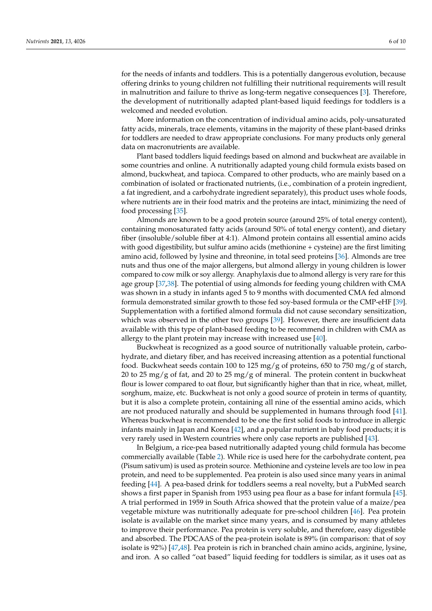for the needs of infants and toddlers. This is a potentially dangerous evolution, because offering drinks to young children not fulfilling their nutritional requirements will result in malnutrition and failure to thrive as long-term negative consequences [\[3\]](#page-7-2). Therefore, the development of nutritionally adapted plant-based liquid feedings for toddlers is a welcomed and needed evolution.

More information on the concentration of individual amino acids, poly-unsaturated fatty acids, minerals, trace elements, vitamins in the majority of these plant-based drinks for toddlers are needed to draw appropriate conclusions. For many products only general data on macronutrients are available.

Plant based toddlers liquid feedings based on almond and buckwheat are available in some countries and online. A nutritionally adapted young child formula exists based on almond, buckwheat, and tapioca. Compared to other products, who are mainly based on a combination of isolated or fractionated nutrients, (i.e., combination of a protein ingredient, a fat ingredient, and a carbohydrate ingredient separately), this product uses whole foods, where nutrients are in their food matrix and the proteins are intact, minimizing the need of food processing [\[35\]](#page-8-7).

Almonds are known to be a good protein source (around 25% of total energy content), containing monosaturated fatty acids (around 50% of total energy content), and dietary fiber (insoluble/soluble fiber at 4:1). Almond protein contains all essential amino acids with good digestibility, but sulfur amino acids (methionine + cysteine) are the first limiting amino acid, followed by lysine and threonine, in total seed proteins [\[36\]](#page-8-8). Almonds are tree nuts and thus one of the major allergens, but almond allergy in young children is lower compared to cow milk or soy allergy. Anaphylaxis due to almond allergy is very rare for this age group [\[37,](#page-8-9)[38\]](#page-8-10). The potential of using almonds for feeding young children with CMA was shown in a study in infants aged 5 to 9 months with documented CMA fed almond formula demonstrated similar growth to those fed soy-based formula or the CMP-eHF [\[39\]](#page-8-11). Supplementation with a fortified almond formula did not cause secondary sensitization, which was observed in the other two groups [\[39\]](#page-8-11). However, there are insufficient data available with this type of plant-based feeding to be recommend in children with CMA as allergy to the plant protein may increase with increased use [\[40\]](#page-8-12).

Buckwheat is recognized as a good source of nutritionally valuable protein, carbohydrate, and dietary fiber, and has received increasing attention as a potential functional food. Buckwheat seeds contain 100 to 125 mg/g of proteins, 650 to 750 mg/g of starch, 20 to 25 mg/g of fat, and 20 to 25 mg/g of mineral. The protein content in buckwheat flour is lower compared to oat flour, but significantly higher than that in rice, wheat, millet, sorghum, maize, etc. Buckwheat is not only a good source of protein in terms of quantity, but it is also a complete protein, containing all nine of the essential amino acids, which are not produced naturally and should be supplemented in humans through food [\[41\]](#page-8-13). Whereas buckwheat is recommended to be one the first solid foods to introduce in allergic infants mainly in Japan and Korea [\[42\]](#page-8-14), and a popular nutrient in baby food products; it is very rarely used in Western countries where only case reports are published [\[43\]](#page-8-15).

In Belgium, a rice-pea based nutritionally adapted young child formula has become commercially available (Table [2\)](#page-2-0). While rice is used here for the carbohydrate content, pea (Pisum sativum) is used as protein source. Methionine and cysteine levels are too low in pea protein, and need to be supplemented. Pea protein is also used since many years in animal feeding [\[44\]](#page-8-16). A pea-based drink for toddlers seems a real novelty, but a PubMed search shows a first paper in Spanish from 1953 using pea flour as a base for infant formula [\[45\]](#page-8-17). A trial performed in 1959 in South Africa showed that the protein value of a maize/pea vegetable mixture was nutritionally adequate for pre-school children [\[46\]](#page-8-18). Pea protein isolate is available on the market since many years, and is consumed by many athletes to improve their performance. Pea protein is very soluble, and therefore, easy digestible and absorbed. The PDCAAS of the pea-protein isolate is 89% (in comparison: that of soy isolate is 92%) [\[47](#page-8-19)[,48\]](#page-8-20). Pea protein is rich in branched chain amino acids, arginine, lysine, and iron. A so called "oat based" liquid feeding for toddlers is similar, as it uses oat as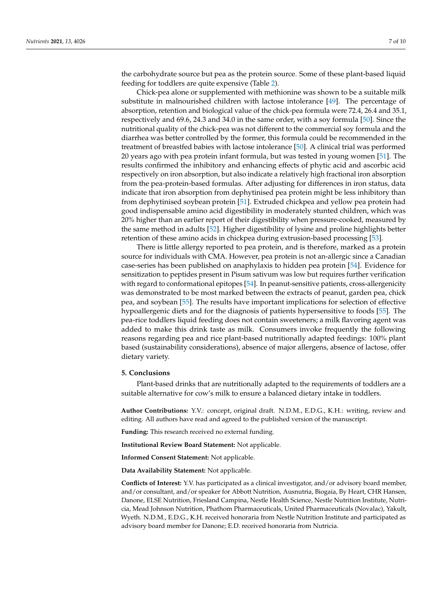the carbohydrate source but pea as the protein source. Some of these plant-based liquid feeding for toddlers are quite expensive (Table [2\)](#page-2-0).

Chick-pea alone or supplemented with methionine was shown to be a suitable milk substitute in malnourished children with lactose intolerance [\[49\]](#page-8-21). The percentage of absorption, retention and biological value of the chick-pea formula were 72.4, 26.4 and 35.1, respectively and 69.6, 24.3 and 34.0 in the same order, with a soy formula [\[50\]](#page-8-22). Since the nutritional quality of the chick-pea was not different to the commercial soy formula and the diarrhea was better controlled by the former, this formula could be recommended in the treatment of breastfed babies with lactose intolerance [\[50\]](#page-8-22). A clinical trial was performed 20 years ago with pea protein infant formula, but was tested in young women [\[51\]](#page-8-23). The results confirmed the inhibitory and enhancing effects of phytic acid and ascorbic acid respectively on iron absorption, but also indicate a relatively high fractional iron absorption from the pea-protein-based formulas. After adjusting for differences in iron status, data indicate that iron absorption from dephytinised pea protein might be less inhibitory than from dephytinised soybean protein [\[51\]](#page-8-23). Extruded chickpea and yellow pea protein had good indispensable amino acid digestibility in moderately stunted children, which was 20% higher than an earlier report of their digestibility when pressure-cooked, measured by the same method in adults [\[52\]](#page-9-0). Higher digestibility of lysine and proline highlights better retention of these amino acids in chickpea during extrusion-based processing [\[53\]](#page-9-1).

There is little allergy reported to pea protein, and is therefore, marked as a protein source for individuals with CMA. However, pea protein is not an-allergic since a Canadian case-series has been published on anaphylaxis to hidden pea protein [\[54\]](#page-9-2). Evidence for sensitization to peptides present in Pisum sativum was low but requires further verification with regard to conformational epitopes [\[54\]](#page-9-2). In peanut-sensitive patients, cross-allergenicity was demonstrated to be most marked between the extracts of peanut, garden pea, chick pea, and soybean [\[55\]](#page-9-3). The results have important implications for selection of effective hypoallergenic diets and for the diagnosis of patients hypersensitive to foods [\[55\]](#page-9-3). The pea-rice toddlers liquid feeding does not contain sweeteners; a milk flavoring agent was added to make this drink taste as milk. Consumers invoke frequently the following reasons regarding pea and rice plant-based nutritionally adapted feedings: 100% plant based (sustainability considerations), absence of major allergens, absence of lactose, offer dietary variety.

#### **5. Conclusions**

Plant-based drinks that are nutritionally adapted to the requirements of toddlers are a suitable alternative for cow's milk to ensure a balanced dietary intake in toddlers.

**Author Contributions:** Y.V.: concept, original draft. N.D.M., E.D.G., K.H.: writing, review and editing. All authors have read and agreed to the published version of the manuscript.

**Funding:** This research received no external funding.

**Institutional Review Board Statement:** Not applicable.

**Informed Consent Statement:** Not applicable.

**Data Availability Statement:** Not applicable.

**Conflicts of Interest:** Y.V. has participated as a clinical investigator, and/or advisory board member, and/or consultant, and/or speaker for Abbott Nutrition, Ausnutria, Biogaia, By Heart, CHR Hansen, Danone, ELSE Nutrition, Friesland Campina, Nestle Health Science, Nestle Nutrition Institute, Nutricia, Mead Johnson Nutrition, Phathom Pharmaceuticals, United Pharmaceuticals (Novalac), Yakult, Wyeth. N.D.M., E.D.G., K.H. received honoraria from Nestle Nutrition Institute and participated as advisory board member for Danone; E.D. received honoraria from Nutricia.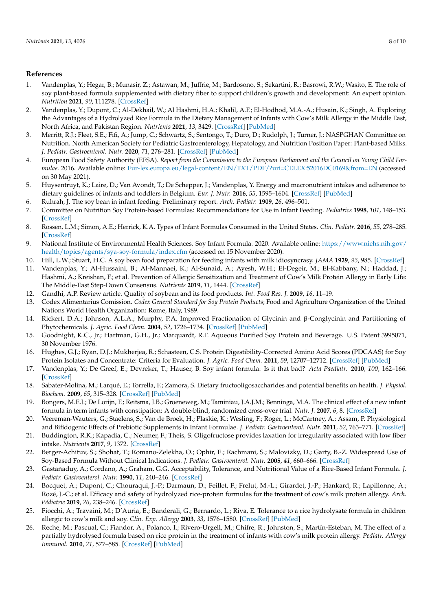## **References**

- <span id="page-7-0"></span>1. Vandenplas, Y.; Hegar, B.; Munasir, Z.; Astawan, M.; Juffrie, M.; Bardosono, S.; Sekartini, R.; Basrowi, R.W.; Wasito, E. The role of soy plant-based formula supplemented with dietary fiber to support children's growth and development: An expert opinion. *Nutrition* **2021**, *90*, 111278. [\[CrossRef\]](http://doi.org/10.1016/j.nut.2021.111278)
- <span id="page-7-1"></span>2. Vandenplas, Y.; Dupont, C.; Al-Dekhail, W.; Al Hashmi, H.A.; Khalil, A.F.; El-Hodhod, M.A.-A.; Husain, K.; Singh, A. Exploring the Advantages of a Hydrolyzed Rice Formula in the Dietary Management of Infants with Cow's Milk Allergy in the Middle East, North Africa, and Pakistan Region. *Nutrients* **2021**, *13*, 3429. [\[CrossRef\]](http://doi.org/10.3390/nu13103429) [\[PubMed\]](http://www.ncbi.nlm.nih.gov/pubmed/34684427)
- <span id="page-7-2"></span>3. Merritt, R.J.; Fleet, S.E.; Fifi, A.; Jump, C.; Schwartz, S.; Sentongo, T.; Duro, D.; Rudolph, J.; Turner, J.; NASPGHAN Committee on Nutrition. North American Society for Pediatric Gastroenterology, Hepatology, and Nutrition Position Paper: Plant-based Milks. *J. Pediatr. Gastroenterol. Nutr.* **2020**, *71*, 276–281. [\[CrossRef\]](http://doi.org/10.1097/MPG.0000000000002799) [\[PubMed\]](http://www.ncbi.nlm.nih.gov/pubmed/32732790)
- <span id="page-7-3"></span>4. European Food Safety Authority (EFSA). *Report from the Commission to the European Parliament and the Council on Young Child Formulae*. 2016. Available online: <Eur-lex.europa.eu/legal-content/EN/TXT/PDF/?uri=CELEX:52016DC0169&from=EN> (accessed on 30 May 2021).
- <span id="page-7-4"></span>5. Huysentruyt, K.; Laire, D.; Van Avondt, T.; De Schepper, J.; Vandenplas, Y. Energy and macronutrient intakes and adherence to dietary guidelines of infants and toddlers in Belgium. *Eur. J. Nutr.* **2016**, *55*, 1595–1604. [\[CrossRef\]](http://doi.org/10.1007/s00394-015-0978-y) [\[PubMed\]](http://www.ncbi.nlm.nih.gov/pubmed/26246202)
- <span id="page-7-5"></span>6. Ruhrah, J. The soy bean in infant feeding: Preliminary report. *Arch. Pediatr.* **1909**, *26*, 496–501.
- <span id="page-7-6"></span>7. Committee on Nutrition Soy Protein-based Formulas: Recommendations for Use in Infant Feeding. *Pediatrics* **1998**, *101*, 148–153. [\[CrossRef\]](http://doi.org/10.1542/peds.101.1.148)
- <span id="page-7-7"></span>8. Rossen, L.M.; Simon, A.E.; Herrick, K.A. Types of Infant Formulas Consumed in the United States. *Clin. Pediatr.* **2016**, *55*, 278–285. [\[CrossRef\]](http://doi.org/10.1177/0009922815591881)
- <span id="page-7-8"></span>9. National Institute of Environmental Health Sciences. Soy Infant Formula. 2020. Available online: [https://www.niehs.nih.gov/](https://www.niehs.nih.gov/health/topics/agents/sya-soy-formula/index.cfm) [health/topics/agents/sya-soy-formula/index.cfm](https://www.niehs.nih.gov/health/topics/agents/sya-soy-formula/index.cfm) (accessed on 15 November 2020).
- <span id="page-7-9"></span>10. Hill, L.W.; Stuart, H.C. A soy bean food preparation for feeding infants with milk idiosyncrasy. *JAMA* **1929**, *93*, 985. [\[CrossRef\]](http://doi.org/10.1001/jama.1929.02710130025008)
- <span id="page-7-10"></span>11. Vandenplas, Y.; Al-Hussaini, B.; Al-Mannaei, K.; Al-Sunaid, A.; Ayesh, W.H.; El-Degeir, M.; El-Kabbany, N.; Haddad, J.; Hashmi, A.; Kreishan, F.; et al. Prevention of Allergic Sensitization and Treatment of Cow's Milk Protein Allergy in Early Life: The Middle-East Step-Down Consensus. *Nutrients* **2019**, *11*, 1444. [\[CrossRef\]](http://doi.org/10.3390/nu11071444)
- <span id="page-7-11"></span>12. Gandhi, A.P. Review article. Quality of soybean and its food products. *Int. Food Res. J.* **2009**, *16*, 11–19.
- <span id="page-7-12"></span>13. Codex Alimentarius Comission. *Codex General Standard for Soy Protein Products*; Food and Agriculture Organization of the United Nations World Health Organization: Rome, Italy, 1989.
- <span id="page-7-13"></span>14. Rickert, D.A.; Johnson, A.L.A.; Murphy, P.A. Improved Fractionation of Glycinin and β-Conglycinin and Partitioning of Phytochemicals. *J. Agric. Food Chem.* **2004**, *52*, 1726–1734. [\[CrossRef\]](http://doi.org/10.1021/jf035248x) [\[PubMed\]](http://www.ncbi.nlm.nih.gov/pubmed/15030237)
- <span id="page-7-14"></span>15. Goodnight, K.C., Jr.; Hartman, G.H., Jr.; Marquardt, R.F. Aqueous Purified Soy Protein and Beverage. U.S. Patent 3995071, 30 November 1976.
- <span id="page-7-15"></span>16. Hughes, G.J.; Ryan, D.J.; Mukherjea, R.; Schasteen, C.S. Protein Digestibility-Corrected Amino Acid Scores (PDCAAS) for Soy Protein Isolates and Concentrate: Criteria for Evaluation. *J. Agric. Food Chem.* **2011**, *59*, 12707–12712. [\[CrossRef\]](http://doi.org/10.1021/jf203220v) [\[PubMed\]](http://www.ncbi.nlm.nih.gov/pubmed/22017752)
- <span id="page-7-16"></span>17. Vandenplas, Y.; De Greef, E.; Devreker, T.; Hauser, B. Soy infant formula: Is it that bad? *Acta Paediatr.* **2010**, *100*, 162–166. [\[CrossRef\]](http://doi.org/10.1111/j.1651-2227.2010.02021.x)
- <span id="page-7-17"></span>18. Sabater-Molina, M.; Larqué, E.; Torrella, F.; Zamora, S. Dietary fructooligosaccharides and potential benefits on health. *J. Physiol. Biochem.* **2009**, *65*, 315–328. [\[CrossRef\]](http://doi.org/10.1007/BF03180584) [\[PubMed\]](http://www.ncbi.nlm.nih.gov/pubmed/20119826)
- 19. Bongers, M.E.J.; De Lorijn, F.; Reitsma, J.B.; Groeneweg, M.; Taminiau, J.A.J.M.; Benninga, M.A. The clinical effect of a new infant formula in term infants with constipation: A double-blind, randomized cross-over trial. *Nutr. J.* **2007**, *6*, 8. [\[CrossRef\]](http://doi.org/10.1186/1475-2891-6-8)
- <span id="page-7-22"></span>20. Veereman-Wauters, G.; Staelens, S.; Van de Broek, H.; Plaskie, K.; Wesling, F.; Roger, L.; McCartney, A.; Assam, P. Physiological and Bifidogenic Effects of Prebiotic Supplements in Infant Formulae. *J. Pediatr. Gastroenterol. Nutr.* **2011**, *52*, 763–771. [\[CrossRef\]](http://doi.org/10.1097/MPG.0b013e3182139f39)
- <span id="page-7-18"></span>21. Buddington, R.K.; Kapadia, C.; Neumer, F.; Theis, S. Oligofructose provides laxation for irregularity associated with low fiber intake. *Nutrients* **2017**, *9*, 1372. [\[CrossRef\]](http://doi.org/10.3390/nu9121372)
- <span id="page-7-19"></span>22. Berger-Achituv, S.; Shohat, T.; Romano-Zelekha, O.; Ophir, E.; Rachmani, S.; Malovizky, D.; Garty, B.-Z. Widespread Use of Soy-Based Formula Without Clinical Indications. *J. Pediatr. Gastroenterol. Nutr.* **2005**, *41*, 660–666. [\[CrossRef\]](http://doi.org/10.1097/01.mpg.0000181855.77488.bf)
- <span id="page-7-20"></span>23. Gastañaduy, A.; Cordano, A.; Graham, G.G. Acceptability, Tolerance, and Nutritional Value of a Rice-Based Infant Formula. *J. Pediatr. Gastroenterol. Nutr.* **1990**, *11*, 240–246. [\[CrossRef\]](http://doi.org/10.1097/00005176-199008000-00014)
- <span id="page-7-21"></span>24. Bocquet, A.; Dupont, C.; Chouraqui, J.-P.; Darmaun, D.; Feillet, F.; Frelut, M.-L.; Girardet, J.-P.; Hankard, R.; Lapillonne, A.; Rozé, J.-C.; et al. Efficacy and safety of hydrolyzed rice-protein formulas for the treatment of cow's milk protein allergy. *Arch. Pédiatrie* **2019**, *26*, 238–246. [\[CrossRef\]](http://doi.org/10.1016/j.arcped.2019.03.001)
- <span id="page-7-23"></span>25. Fiocchi, A.; Travaini, M.; D'Auria, E.; Banderali, G.; Bernardo, L.; Riva, E. Tolerance to a rice hydrolysate formula in children allergic to cow's milk and soy. *Clin. Exp. Allergy* **2003**, *33*, 1576–1580. [\[CrossRef\]](http://doi.org/10.1046/j.1365-2222.2003.01781.x) [\[PubMed\]](http://www.ncbi.nlm.nih.gov/pubmed/14616871)
- 26. Reche, M.; Pascual, C.; Fiandor, A.; Polanco, I.; Rivero-Urgell, M.; Chifre, R.; Johnston, S.; Martín-Esteban, M. The effect of a partially hydrolysed formula based on rice protein in the treatment of infants with cow's milk protein allergy. *Pediatr. Allergy Immunol.* **2010**, *21*, 577–585. [\[CrossRef\]](http://doi.org/10.1111/j.1399-3038.2010.00991.x) [\[PubMed\]](http://www.ncbi.nlm.nih.gov/pubmed/20337976)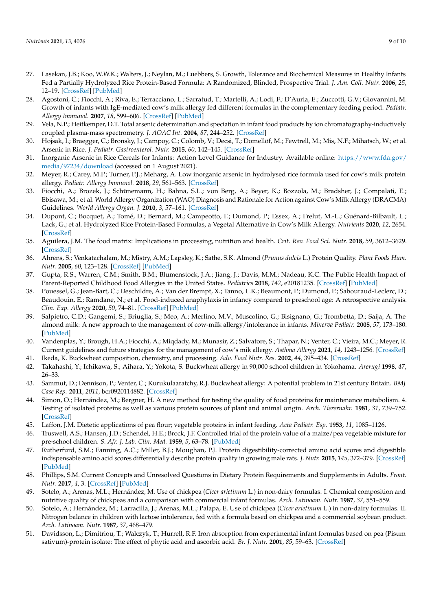- 27. Lasekan, J.B.; Koo, W.W.K.; Walters, J.; Neylan, M.; Luebbers, S. Growth, Tolerance and Biochemical Measures in Healthy Infants Fed a Partially Hydrolyzed Rice Protein-Based Formula: A Randomized, Blinded, Prospective Trial. *J. Am. Coll. Nutr.* **2006**, *25*, 12–19. [\[CrossRef\]](http://doi.org/10.1080/07315724.2006.10719509) [\[PubMed\]](http://www.ncbi.nlm.nih.gov/pubmed/16522927)
- <span id="page-8-0"></span>28. Agostoni, C.; Fiocchi, A.; Riva, E.; Terracciano, L.; Sarratud, T.; Martelli, A.; Lodi, F.; D'Auria, E.; Zuccotti, G.V.; Giovannini, M. Growth of infants with IgE-mediated cow's milk allergy fed different formulas in the complementary feeding period. *Pediatr. Allergy Immunol.* **2007**, *18*, 599–606. [\[CrossRef\]](http://doi.org/10.1111/j.1399-3038.2007.00566.x) [\[PubMed\]](http://www.ncbi.nlm.nih.gov/pubmed/17561927)
- <span id="page-8-1"></span>29. Vela, N.P.; Heitkemper, D.T. Total arsenic determination and speciation in infant food products by ion chromatography-inductively coupled plasma-mass spectrometry. *J. AOAC Int.* **2004**, *87*, 244–252. [\[CrossRef\]](http://doi.org/10.1093/jaoac/87.1.244)
- <span id="page-8-2"></span>30. Hojsak, I.; Braegger, C.; Bronsky, J.; Campoy, C.; Colomb, V.; Decsi, T.; Domellöf, M.; Fewtrell, M.; Mis, N.F.; Mihatsch, W.; et al. Arsenic in Rice. *J. Pediatr. Gastroenterol. Nutr.* **2015**, *60*, 142–145. [\[CrossRef\]](http://doi.org/10.1097/MPG.0000000000000502)
- <span id="page-8-3"></span>31. Inorganic Arsenic in Rice Cereals for Infants: Action Level Guidance for Industry. Available online: [https://www.fda.gov/](https://www.fda.gov/media/97234/download) [media/97234/download](https://www.fda.gov/media/97234/download) (accessed on 1 August 2021).
- <span id="page-8-4"></span>32. Meyer, R.; Carey, M.P.; Turner, P.J.; Meharg, A. Low inorganic arsenic in hydrolysed rice formula used for cow's milk protein allergy. *Pediatr. Allergy Immunol.* **2018**, *29*, 561–563. [\[CrossRef\]](http://doi.org/10.1111/pai.12913)
- <span id="page-8-5"></span>33. Fiocchi, A.; Brozek, J.; Schünemann, H.; Bahna, S.L.; von Berg, A.; Beyer, K.; Bozzola, M.; Bradsher, J.; Compalati, E.; Ebisawa, M.; et al. World Allergy Organization (WAO) Diagnosis and Rationale for Action against Cow's Milk Allergy (DRACMA) Guidelines. *World Allergy Organ. J.* **2010**, *3*, 57–161. [\[CrossRef\]](http://doi.org/10.1097/WOX.0b013e3181defeb9)
- <span id="page-8-6"></span>34. Dupont, C.; Bocquet, A.; Tomé, D.; Bernard, M.; Campeotto, F.; Dumond, P.; Essex, A.; Frelut, M.-L.; Guénard-Bilbault, L.; Lack, G.; et al. Hydrolyzed Rice Protein-Based Formulas, a Vegetal Alternative in Cow's Milk Allergy. *Nutrients* **2020**, *12*, 2654. [\[CrossRef\]](http://doi.org/10.3390/nu12092654)
- <span id="page-8-7"></span>35. Aguilera, J.M. The food matrix: Implications in processing, nutrition and health. *Crit. Rev. Food Sci. Nutr.* **2018**, *59*, 3612–3629. [\[CrossRef\]](http://doi.org/10.1080/10408398.2018.1502743)
- <span id="page-8-8"></span>36. Ahrens, S.; Venkatachalam, M.; Mistry, A.M.; Lapsley, K.; Sathe, S.K. Almond (*Prunus dulcis* L.) Protein Quality. *Plant Foods Hum. Nutr.* **2005**, *60*, 123–128. [\[CrossRef\]](http://doi.org/10.1007/s11130-005-6840-2) [\[PubMed\]](http://www.ncbi.nlm.nih.gov/pubmed/16187015)
- <span id="page-8-9"></span>37. Gupta, R.S.; Warren, C.M.; Smith, B.M.; Blumenstock, J.A.; Jiang, J.; Davis, M.M.; Nadeau, K.C. The Public Health Impact of Parent-Reported Childhood Food Allergies in the United States. *Pediatrics* **2018**, *142*, e20181235. [\[CrossRef\]](http://doi.org/10.1542/peds.2018-1235) [\[PubMed\]](http://www.ncbi.nlm.nih.gov/pubmed/30455345)
- <span id="page-8-10"></span>38. Pouessel, G.; Jean-Bart, C.; Deschildre, A.; Van der Brempt, X.; Tanno, L.K.; Beaumont, P.; Dumond, P.; Sabouraud-Leclerc, D.; Beaudouin, E.; Ramdane, N.; et al. Food-induced anaphylaxis in infancy compared to preschool age: A retrospective analysis. *Clin. Exp. Allergy* **2020**, *50*, 74–81. [\[CrossRef\]](http://doi.org/10.1111/cea.13519) [\[PubMed\]](http://www.ncbi.nlm.nih.gov/pubmed/31651059)
- <span id="page-8-11"></span>39. Salpietro, C.D.; Gangemi, S.; Briuglia, S.; Meo, A.; Merlino, M.V.; Muscolino, G.; Bisignano, G.; Trombetta, D.; Saija, A. The almond milk: A new approach to the management of cow-milk allergy/intolerance in infants. *Minerva Pediatr.* **2005**, *57*, 173–180. [\[PubMed\]](http://www.ncbi.nlm.nih.gov/pubmed/16172596)
- <span id="page-8-12"></span>40. Vandenplas, Y.; Brough, H.A.; Fiocchi, A.; Miqdady, M.; Munasir, Z.; Salvatore, S.; Thapar, N.; Venter, C.; Vieira, M.C.; Meyer, R. Current guidelines and future strategies for the management of cow's mik allergy. *Asthma Allergy* **2021**, *14*, 1243–1256. [\[CrossRef\]](http://doi.org/10.2147/JAA.S276992)
- <span id="page-8-13"></span>41. Ikeda, K. Buckwheat composition, chemistry, and processing. *Adv. Food Nutr. Res.* **2002**, *44*, 395–434. [\[CrossRef\]](http://doi.org/10.1016/s1043-4526(02)44008-9)
- <span id="page-8-14"></span>42. Takahashi, Y.; Ichikawa, S.; Aihara, Y.; Yokota, S. Buckwheat allergy in 90,000 school children in Yokohama. *Arerugi* **1998**, *47*, 26–33.
- <span id="page-8-15"></span>43. Sammut, D.; Dennison, P.; Venter, C.; Kurukulaaratchy, R.J. Buckwheat allergy: A potential problem in 21st century Britain. *BMJ Case Rep.* **2011**, *2011*, bcr0920114882. [\[CrossRef\]](http://doi.org/10.1136/bcr.09.2011.4882)
- <span id="page-8-16"></span>44. Simon, O.; Hernández, M.; Bergner, H. A new method for testing the quality of food proteins for maintenance metabolism. 4. Testing of isolated proteins as well as various protein sources of plant and animal origin. *Arch. Tierernahr.* **1981**, *31*, 739–752. [\[CrossRef\]](http://doi.org/10.1080/17450398109425116)
- <span id="page-8-17"></span>45. Laffon, J.M. Dietetic applications of pea flour; vegetable proteins in infant feeding. *Acta Pediatr. Esp.* **1953**, *11*, 1085–1126.
- <span id="page-8-18"></span>46. Truswell, A.S.; Hansen, J.D.; Schendel, H.E.; Brock, J.F. Controlled trial of the protein value of a maize/pea vegetable mixture for pre-school children. *S. Afr. J. Lab. Clin. Med.* **1959**, *5*, 63–78. [\[PubMed\]](http://www.ncbi.nlm.nih.gov/pubmed/13675865)
- <span id="page-8-19"></span>47. Rutherfurd, S.M.; Fanning, A.C.; Miller, B.J.; Moughan, P.J. Protein digestibility-corrected amino acid scores and digestible indispensable amino acid scores differentially describe protein quality in growing male rats. *J. Nutr.* **2015**, *145*, 372–379. [\[CrossRef\]](http://doi.org/10.3945/jn.114.195438) [\[PubMed\]](http://www.ncbi.nlm.nih.gov/pubmed/25644361)
- <span id="page-8-20"></span>48. Phillips, S.M. Current Concepts and Unresolved Questions in Dietary Protein Requirements and Supplements in Adults. *Front. Nutr.* **2017**, *4*, 3. [\[CrossRef\]](http://doi.org/10.3389/fnut.2017.00013) [\[PubMed\]](http://www.ncbi.nlm.nih.gov/pubmed/28534027)
- <span id="page-8-21"></span>49. Sotelo, A.; Arenas, M.L.; Hernández, M. Use of chickpea (*Cicer arietinum* L.) in non-dairy formulas. I. Chemical composition and nutritive quality of chickpeas and a comparison with commercial infant formulas. *Arch. Latinoam. Nutr.* **1987**, *37*, 551–559.
- <span id="page-8-22"></span>50. Sotelo, A.; Hernández, M.; Larracilla, J.; Arenas, M.L.; Palapa, E. Use of chickpea (*Cicer arietinum* L.) in non-dairy formulas. II. Nitrogen balance in children with lactose intolerance, fed with a formula based on chickpea and a commercial soybean product. *Arch. Latinoam. Nutr.* **1987**, *37*, 468–479.
- <span id="page-8-23"></span>51. Davidsson, L.; Dimitriou, T.; Walczyk, T.; Hurrell, R.F. Iron absorption from experimental infant formulas based on pea (Pisum sativum)-protein isolate: The effect of phytic acid and ascorbic acid. *Br. J. Nutr.* **2001**, *85*, 59–63. [\[CrossRef\]](http://doi.org/10.1079/BJN2000232)